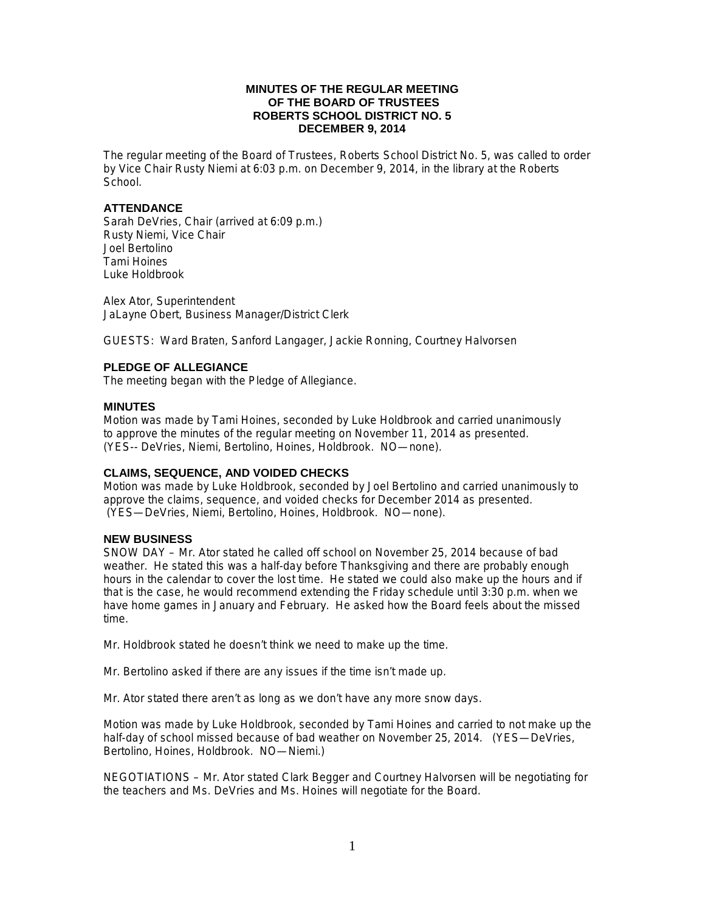## **MINUTES OF THE REGULAR MEETING OF THE BOARD OF TRUSTEES ROBERTS SCHOOL DISTRICT NO. 5 DECEMBER 9, 2014**

The regular meeting of the Board of Trustees, Roberts School District No. 5, was called to order by Vice Chair Rusty Niemi at 6:03 p.m. on December 9, 2014, in the library at the Roberts School.

## **ATTENDANCE**

Sarah DeVries, Chair (arrived at 6:09 p.m.) Rusty Niemi, Vice Chair Joel Bertolino Tami Hoines Luke Holdbrook

Alex Ator, Superintendent JaLayne Obert, Business Manager/District Clerk

GUESTS: Ward Braten, Sanford Langager, Jackie Ronning, Courtney Halvorsen

## **PLEDGE OF ALLEGIANCE**

The meeting began with the Pledge of Allegiance.

### **MINUTES**

Motion was made by Tami Hoines, seconded by Luke Holdbrook and carried unanimously to approve the minutes of the regular meeting on November 11, 2014 as presented. (YES-- DeVries, Niemi, Bertolino, Hoines, Holdbrook. NO—none).

## **CLAIMS, SEQUENCE, AND VOIDED CHECKS**

Motion was made by Luke Holdbrook, seconded by Joel Bertolino and carried unanimously to approve the claims, sequence, and voided checks for December 2014 as presented. (YES—DeVries, Niemi, Bertolino, Hoines, Holdbrook. NO—none).

#### **NEW BUSINESS**

SNOW DAY – Mr. Ator stated he called off school on November 25, 2014 because of bad weather. He stated this was a half-day before Thanksgiving and there are probably enough hours in the calendar to cover the lost time. He stated we could also make up the hours and if that is the case, he would recommend extending the Friday schedule until 3:30 p.m. when we have home games in January and February. He asked how the Board feels about the missed time.

Mr. Holdbrook stated he doesn't think we need to make up the time.

Mr. Bertolino asked if there are any issues if the time isn't made up.

Mr. Ator stated there aren't as long as we don't have any more snow days.

Motion was made by Luke Holdbrook, seconded by Tami Hoines and carried to not make up the half-day of school missed because of bad weather on November 25, 2014. (YES—DeVries, Bertolino, Hoines, Holdbrook. NO—Niemi.)

NEGOTIATIONS – Mr. Ator stated Clark Begger and Courtney Halvorsen will be negotiating for the teachers and Ms. DeVries and Ms. Hoines will negotiate for the Board.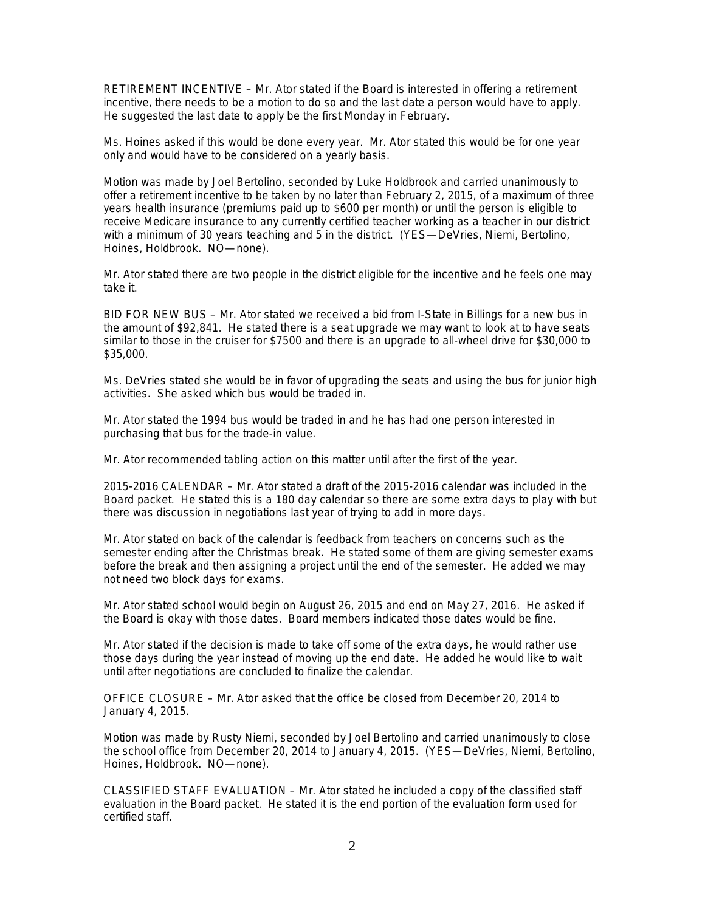RETIREMENT INCENTIVE – Mr. Ator stated if the Board is interested in offering a retirement incentive, there needs to be a motion to do so and the last date a person would have to apply. He suggested the last date to apply be the first Monday in February.

Ms. Hoines asked if this would be done every year. Mr. Ator stated this would be for one year only and would have to be considered on a yearly basis.

Motion was made by Joel Bertolino, seconded by Luke Holdbrook and carried unanimously to offer a retirement incentive to be taken by no later than February 2, 2015, of a maximum of three years health insurance (premiums paid up to \$600 per month) or until the person is eligible to receive Medicare insurance to any currently certified teacher working as a teacher in our district with a minimum of 30 years teaching and 5 in the district. (YES—DeVries, Niemi, Bertolino, Hoines, Holdbrook. NO—none).

Mr. Ator stated there are two people in the district eligible for the incentive and he feels one may take it.

BID FOR NEW BUS – Mr. Ator stated we received a bid from I-State in Billings for a new bus in the amount of \$92,841. He stated there is a seat upgrade we may want to look at to have seats similar to those in the cruiser for \$7500 and there is an upgrade to all-wheel drive for \$30,000 to \$35,000.

Ms. DeVries stated she would be in favor of upgrading the seats and using the bus for junior high activities. She asked which bus would be traded in.

Mr. Ator stated the 1994 bus would be traded in and he has had one person interested in purchasing that bus for the trade-in value.

Mr. Ator recommended tabling action on this matter until after the first of the year.

2015-2016 CALENDAR – Mr. Ator stated a draft of the 2015-2016 calendar was included in the Board packet. He stated this is a 180 day calendar so there are some extra days to play with but there was discussion in negotiations last year of trying to add in more days.

Mr. Ator stated on back of the calendar is feedback from teachers on concerns such as the semester ending after the Christmas break. He stated some of them are giving semester exams before the break and then assigning a project until the end of the semester. He added we may not need two block days for exams.

Mr. Ator stated school would begin on August 26, 2015 and end on May 27, 2016. He asked if the Board is okay with those dates. Board members indicated those dates would be fine.

Mr. Ator stated if the decision is made to take off some of the extra days, he would rather use those days during the year instead of moving up the end date. He added he would like to wait until after negotiations are concluded to finalize the calendar.

OFFICE CLOSURE – Mr. Ator asked that the office be closed from December 20, 2014 to January 4, 2015.

Motion was made by Rusty Niemi, seconded by Joel Bertolino and carried unanimously to close the school office from December 20, 2014 to January 4, 2015. (YES—DeVries, Niemi, Bertolino, Hoines, Holdbrook. NO—none).

CLASSIFIED STAFF EVALUATION – Mr. Ator stated he included a copy of the classified staff evaluation in the Board packet. He stated it is the end portion of the evaluation form used for certified staff.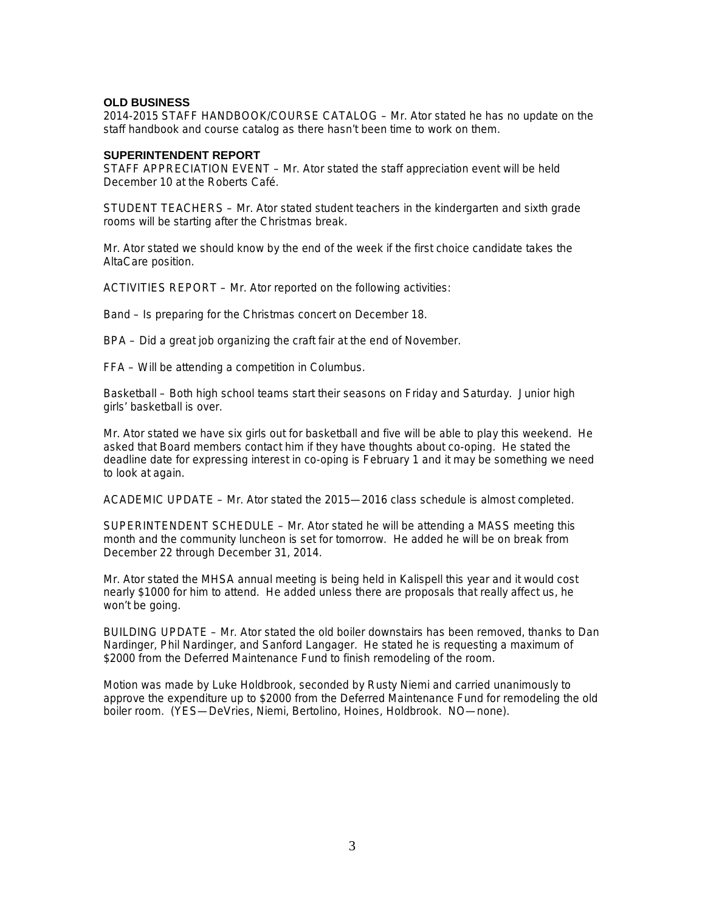## **OLD BUSINESS**

2014-2015 STAFF HANDBOOK/COURSE CATALOG – Mr. Ator stated he has no update on the staff handbook and course catalog as there hasn't been time to work on them.

#### **SUPERINTENDENT REPORT**

STAFF APPRECIATION EVENT – Mr. Ator stated the staff appreciation event will be held December 10 at the Roberts Café.

STUDENT TEACHERS – Mr. Ator stated student teachers in the kindergarten and sixth grade rooms will be starting after the Christmas break.

Mr. Ator stated we should know by the end of the week if the first choice candidate takes the AltaCare position.

ACTIVITIES REPORT – Mr. Ator reported on the following activities:

Band – Is preparing for the Christmas concert on December 18.

BPA – Did a great job organizing the craft fair at the end of November.

FFA – Will be attending a competition in Columbus.

Basketball – Both high school teams start their seasons on Friday and Saturday. Junior high girls' basketball is over.

Mr. Ator stated we have six girls out for basketball and five will be able to play this weekend. He asked that Board members contact him if they have thoughts about co-oping. He stated the deadline date for expressing interest in co-oping is February 1 and it may be something we need to look at again.

ACADEMIC UPDATE – Mr. Ator stated the 2015—2016 class schedule is almost completed.

SUPERINTENDENT SCHEDULE – Mr. Ator stated he will be attending a MASS meeting this month and the community luncheon is set for tomorrow. He added he will be on break from December 22 through December 31, 2014.

Mr. Ator stated the MHSA annual meeting is being held in Kalispell this year and it would cost nearly \$1000 for him to attend. He added unless there are proposals that really affect us, he won't be going.

BUILDING UPDATE – Mr. Ator stated the old boiler downstairs has been removed, thanks to Dan Nardinger, Phil Nardinger, and Sanford Langager. He stated he is requesting a maximum of \$2000 from the Deferred Maintenance Fund to finish remodeling of the room.

Motion was made by Luke Holdbrook, seconded by Rusty Niemi and carried unanimously to approve the expenditure up to \$2000 from the Deferred Maintenance Fund for remodeling the old boiler room. (YES—DeVries, Niemi, Bertolino, Hoines, Holdbrook. NO—none).